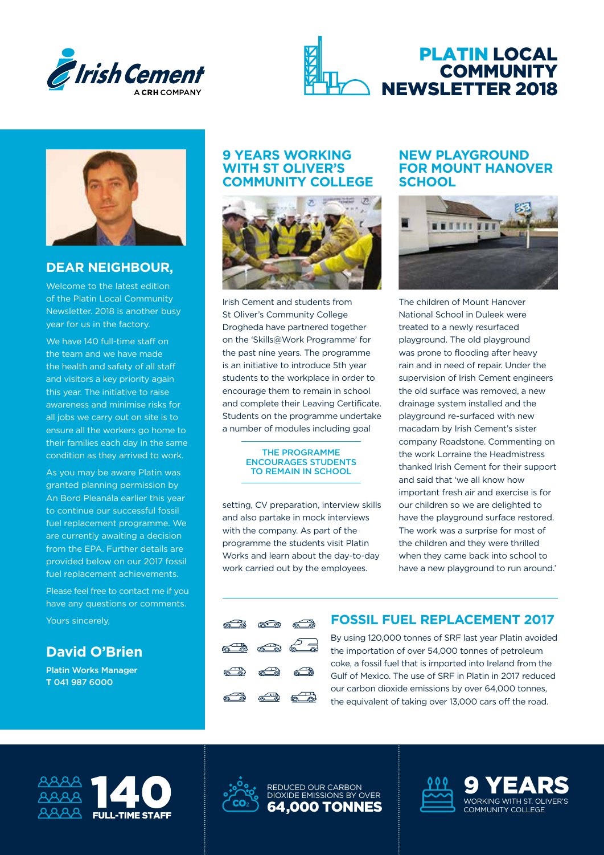





## **DEAR NEIGHBOUR,**

Welcome to the latest edition of the Platin Local Community Newsletter. 2018 is another busy year for us in the factory.

We have 140 full-time staff on the team and we have made the health and safety of all staff and visitors a key priority again this year. The initiative to raise awareness and minimise risks for all jobs we carry out on site is to ensure all the workers go home to their families each day in the same condition as they arrived to work.

As you may be aware Platin was granted planning permission by An Bord Pleanála earlier this year to continue our successful fossil fuel replacement programme. We are currently awaiting a decision from the EPA. Further details are provided below on our 2017 fossil fuel replacement achievements.

Please feel free to contact me if you have any questions or comments.

Yours sincerely,

# **David O'Brien**

Platin Works Manager **T** 041 987 6000

#### **9 YEARS WORKING WITH ST OLIVER'S COMMUNITY COLLEGE**



Irish Cement and students from St Oliver's Community College Drogheda have partnered together on the 'Skills@Work Programme' for the past nine years. The programme is an initiative to introduce 5th year students to the workplace in order to encourage them to remain in school and complete their Leaving Certificate. Students on the programme undertake a number of modules including goal

#### THE PROGRAMME ENCOURAGES STUDENTS TO REMAIN IN SCHOOL

setting, CV preparation, interview skills and also partake in mock interviews with the company. As part of the programme the students visit Platin Works and learn about the day-to-day work carried out by the employees.

高工商

a<sup>n</sup>

REDUCED OUR CARBON DIOXIDE EMISSIONS BY OVER 64,000 TONNES

#### **NEW PLAYGROUND FOR MOUNT HANOVER SCHOOL**



The children of Mount Hanover National School in Duleek were treated to a newly resurfaced playground. The old playground was prone to flooding after heavy rain and in need of repair. Under the supervision of Irish Cement engineers the old surface was removed, a new drainage system installed and the playground re-surfaced with new macadam by Irish Cement's sister company Roadstone. Commenting on the work Lorraine the Headmistress thanked Irish Cement for their support and said that 'we all know how important fresh air and exercise is for our children so we are delighted to have the playground surface restored. The work was a surprise for most of the children and they were thrilled when they came back into school to have a new playground to run around.'

# **FOSSIL FUEL REPLACEMENT 2017**

By using 120,000 tonnes of SRF last year Platin avoided the importation of over 54,000 tonnes of petroleum coke, a fossil fuel that is imported into Ireland from the Gulf of Mexico. The use of SRF in Platin in 2017 reduced our carbon dioxide emissions by over 64,000 tonnes, the equivalent of taking over 13,000 cars off the road.

> 9 YEARS WORKING WITH ST. OLIVER'S COMMUNITY COLLEGE